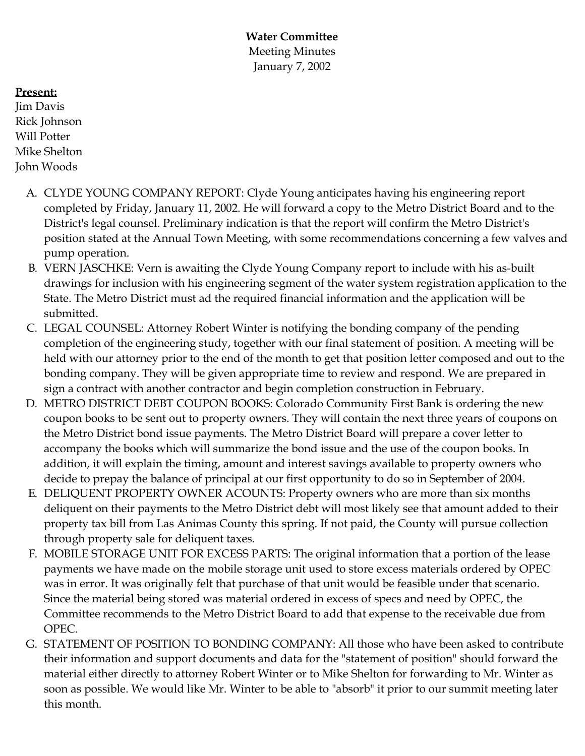**Water Committee** Meeting Minutes January 7, 2002

## **Present:**

Jim Davis Rick Johnson Will Potter Mike Shelton John Woods

- A. CLYDE YOUNG COMPANY REPORT: Clyde Young anticipates having his engineering report completed by Friday, January 11, 2002. He will forward a copy to the Metro District Board and to the District's legal counsel. Preliminary indication is that the report will confirm the Metro District's position stated at the Annual Town Meeting, with some recommendations concerning a few valves and pump operation.
- B. VERN JASCHKE: Vern is awaiting the Clyde Young Company report to include with his as-built drawings for inclusion with his engineering segment of the water system registration application to the State. The Metro District must ad the required financial information and the application will be submitted.
- C. LEGAL COUNSEL: Attorney Robert Winter is notifying the bonding company of the pending completion of the engineering study, together with our final statement of position. A meeting will be held with our attorney prior to the end of the month to get that position letter composed and out to the bonding company. They will be given appropriate time to review and respond. We are prepared in sign a contract with another contractor and begin completion construction in February.
- D. METRO DISTRICT DEBT COUPON BOOKS: Colorado Community First Bank is ordering the new coupon books to be sent out to property owners. They will contain the next three years of coupons on the Metro District bond issue payments. The Metro District Board will prepare a cover letter to accompany the books which will summarize the bond issue and the use of the coupon books. In addition, it will explain the timing, amount and interest savings available to property owners who decide to prepay the balance of principal at our first opportunity to do so in September of 2004.
- E. DELIQUENT PROPERTY OWNER ACOUNTS: Property owners who are more than six months deliquent on their payments to the Metro District debt will most likely see that amount added to their property tax bill from Las Animas County this spring. If not paid, the County will pursue collection through property sale for deliquent taxes.
- F. MOBILE STORAGE UNIT FOR EXCESS PARTS: The original information that a portion of the lease payments we have made on the mobile storage unit used to store excess materials ordered by OPEC was in error. It was originally felt that purchase of that unit would be feasible under that scenario. Since the material being stored was material ordered in excess of specs and need by OPEC, the Committee recommends to the Metro District Board to add that expense to the receivable due from OPEC.
- G. STATEMENT OF POSITION TO BONDING COMPANY: All those who have been asked to contribute their information and support documents and data for the "statement of position" should forward the material either directly to attorney Robert Winter or to Mike Shelton for forwarding to Mr. Winter as soon as possible. We would like Mr. Winter to be able to "absorb" it prior to our summit meeting later this month.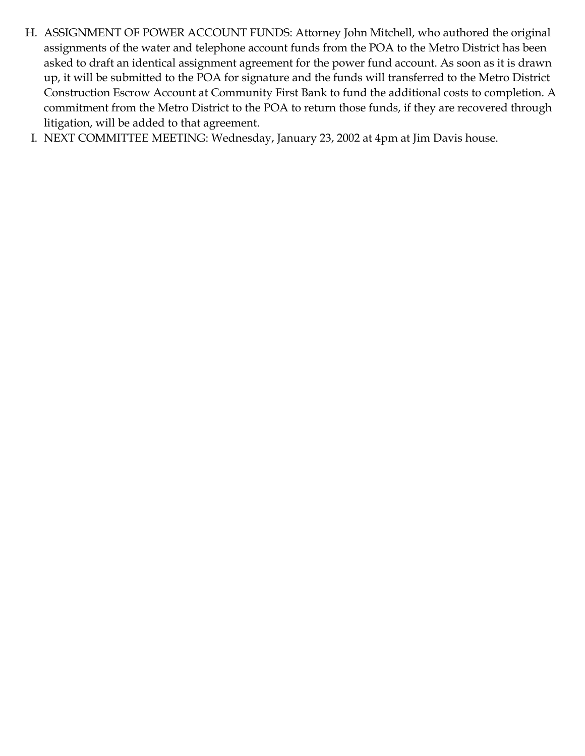- H. ASSIGNMENT OF POWER ACCOUNT FUNDS: Attorney John Mitchell, who authored the original assignments of the water and telephone account funds from the POA to the Metro District has been asked to draft an identical assignment agreement for the power fund account. As soon as it is drawn up, it will be submitted to the POA for signature and the funds will transferred to the Metro District Construction Escrow Account at Community First Bank to fund the additional costs to completion. A commitment from the Metro District to the POA to return those funds, if they are recovered through litigation, will be added to that agreement.
- I. NEXT COMMITTEE MEETING: Wednesday, January 23, 2002 at 4pm at Jim Davis house.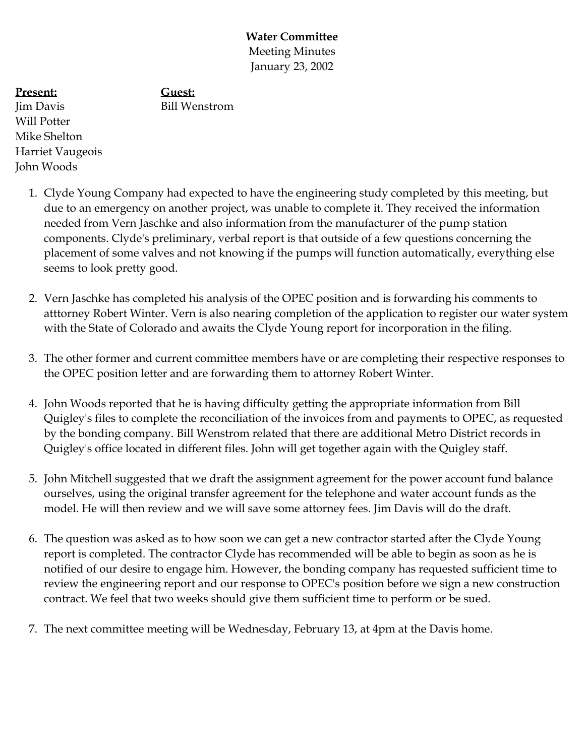**Water Committee** Meeting Minutes January 23, 2002

**Present:**

**Guest:** Bill Wenstrom

Jim Davis Will Potter Mike Shelton Harriet Vaugeois John Woods

- 1. Clyde Young Company had expected to have the engineering study completed by this meeting, but due to an emergency on another project, was unable to complete it. They received the information needed from Vern Jaschke and also information from the manufacturer of the pump station components. Clyde's preliminary, verbal report is that outside of a few questions concerning the placement of some valves and not knowing if the pumps will function automatically, everything else seems to look pretty good.
- 2. Vern Jaschke has completed his analysis of the OPEC position and is forwarding his comments to atttorney Robert Winter. Vern is also nearing completion of the application to register our water system with the State of Colorado and awaits the Clyde Young report for incorporation in the filing.
- 3. The other former and current committee members have or are completing their respective responses to the OPEC position letter and are forwarding them to attorney Robert Winter.
- 4. John Woods reported that he is having difficulty getting the appropriate information from Bill Quigley's files to complete the reconciliation of the invoices from and payments to OPEC, as requested by the bonding company. Bill Wenstrom related that there are additional Metro District records in Quigley's office located in different files. John will get together again with the Quigley staff.
- 5. John Mitchell suggested that we draft the assignment agreement for the power account fund balance ourselves, using the original transfer agreement for the telephone and water account funds as the model. He will then review and we will save some attorney fees. Jim Davis will do the draft.
- 6. The question was asked as to how soon we can get a new contractor started after the Clyde Young report is completed. The contractor Clyde has recommended will be able to begin as soon as he is notified of our desire to engage him. However, the bonding company has requested sufficient time to review the engineering report and our response to OPEC's position before we sign a new construction contract. We feel that two weeks should give them sufficient time to perform or be sued.
- 7. The next committee meeting will be Wednesday, February 13, at 4pm at the Davis home.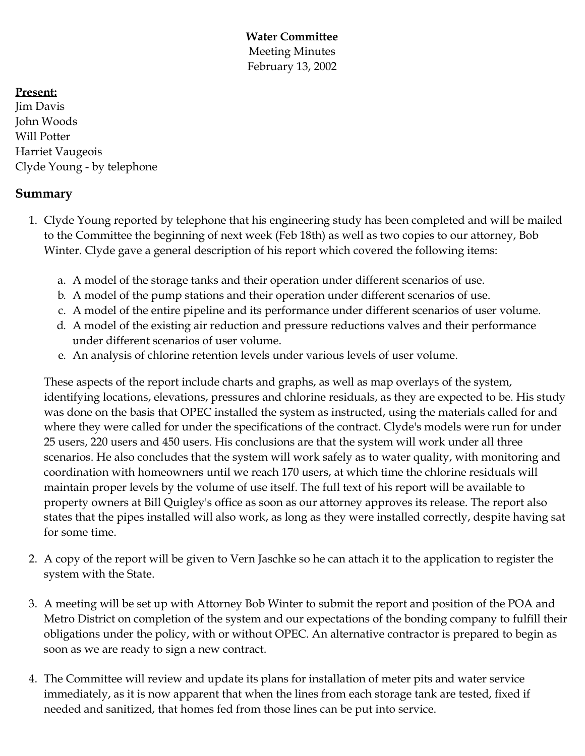**Water Committee** Meeting Minutes February 13, 2002

## **Present:**

Jim Davis John Woods Will Potter Harriet Vaugeois Clyde Young - by telephone

# **Summary**

- 1. Clyde Young reported by telephone that his engineering study has been completed and will be mailed to the Committee the beginning of next week (Feb 18th) as well as two copies to our attorney, Bob Winter. Clyde gave a general description of his report which covered the following items:
	- a. A model of the storage tanks and their operation under different scenarios of use.
	- b. A model of the pump stations and their operation under different scenarios of use.
	- c. A model of the entire pipeline and its performance under different scenarios of user volume.
	- d. A model of the existing air reduction and pressure reductions valves and their performance under different scenarios of user volume.
	- e. An analysis of chlorine retention levels under various levels of user volume.

These aspects of the report include charts and graphs, as well as map overlays of the system, identifying locations, elevations, pressures and chlorine residuals, as they are expected to be. His study was done on the basis that OPEC installed the system as instructed, using the materials called for and where they were called for under the specifications of the contract. Clyde's models were run for under 25 users, 220 users and 450 users. His conclusions are that the system will work under all three scenarios. He also concludes that the system will work safely as to water quality, with monitoring and coordination with homeowners until we reach 170 users, at which time the chlorine residuals will maintain proper levels by the volume of use itself. The full text of his report will be available to property owners at Bill Quigley's office as soon as our attorney approves its release. The report also states that the pipes installed will also work, as long as they were installed correctly, despite having sat for some time.

- 2. A copy of the report will be given to Vern Jaschke so he can attach it to the application to register the system with the State.
- 3. A meeting will be set up with Attorney Bob Winter to submit the report and position of the POA and Metro District on completion of the system and our expectations of the bonding company to fulfill their obligations under the policy, with or without OPEC. An alternative contractor is prepared to begin as soon as we are ready to sign a new contract.
- 4. The Committee will review and update its plans for installation of meter pits and water service immediately, as it is now apparent that when the lines from each storage tank are tested, fixed if needed and sanitized, that homes fed from those lines can be put into service.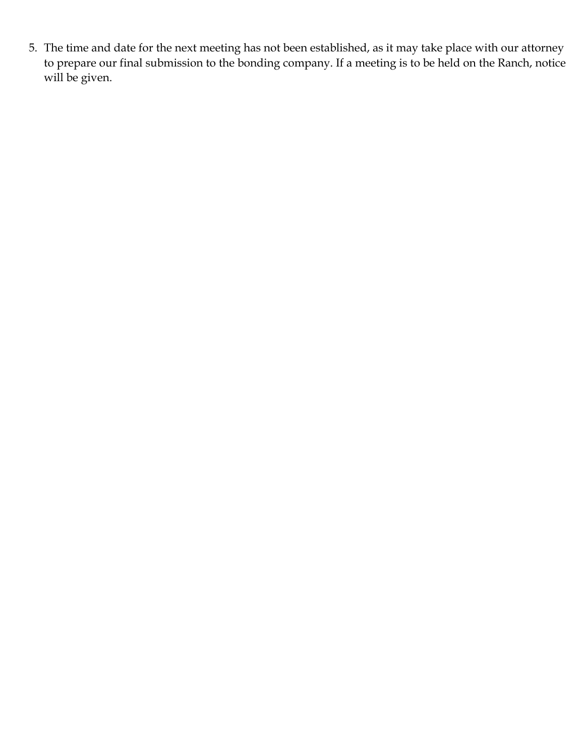5. The time and date for the next meeting has not been established, as it may take place with our attorney to prepare our final submission to the bonding company. If a meeting is to be held on the Ranch, notice will be given.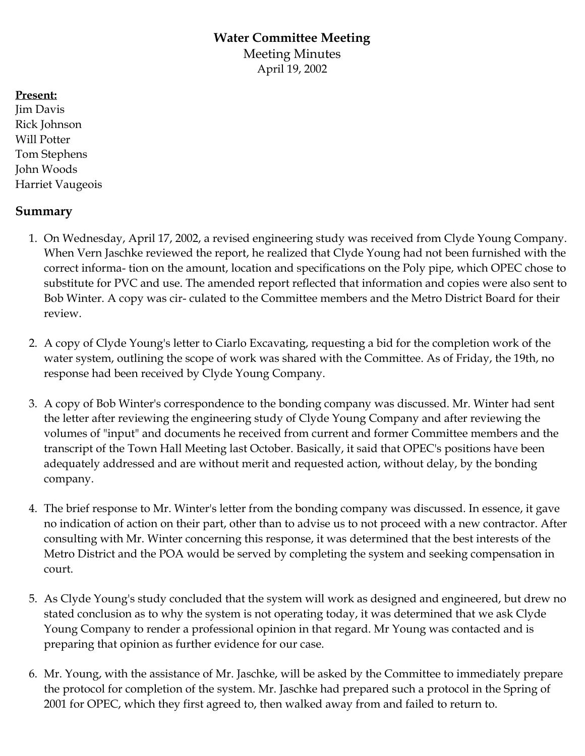# **Water Committee Meeting**

Meeting Minutes April 19, 2002

#### **Present:**

Jim Davis Rick Johnson Will Potter Tom Stephens John Woods Harriet Vaugeois

# **Summary**

- 1. On Wednesday, April 17, 2002, a revised engineering study was received from Clyde Young Company. When Vern Jaschke reviewed the report, he realized that Clyde Young had not been furnished with the correct informa- tion on the amount, location and specifications on the Poly pipe, which OPEC chose to substitute for PVC and use. The amended report reflected that information and copies were also sent to Bob Winter. A copy was cir- culated to the Committee members and the Metro District Board for their review.
- 2. A copy of Clyde Young's letter to Ciarlo Excavating, requesting a bid for the completion work of the water system, outlining the scope of work was shared with the Committee. As of Friday, the 19th, no response had been received by Clyde Young Company.
- 3. A copy of Bob Winter's correspondence to the bonding company was discussed. Mr. Winter had sent the letter after reviewing the engineering study of Clyde Young Company and after reviewing the volumes of "input" and documents he received from current and former Committee members and the transcript of the Town Hall Meeting last October. Basically, it said that OPEC's positions have been adequately addressed and are without merit and requested action, without delay, by the bonding company.
- 4. The brief response to Mr. Winter's letter from the bonding company was discussed. In essence, it gave no indication of action on their part, other than to advise us to not proceed with a new contractor. After consulting with Mr. Winter concerning this response, it was determined that the best interests of the Metro District and the POA would be served by completing the system and seeking compensation in court.
- 5. As Clyde Young's study concluded that the system will work as designed and engineered, but drew no stated conclusion as to why the system is not operating today, it was determined that we ask Clyde Young Company to render a professional opinion in that regard. Mr Young was contacted and is preparing that opinion as further evidence for our case.
- 6. Mr. Young, with the assistance of Mr. Jaschke, will be asked by the Committee to immediately prepare the protocol for completion of the system. Mr. Jaschke had prepared such a protocol in the Spring of 2001 for OPEC, which they first agreed to, then walked away from and failed to return to.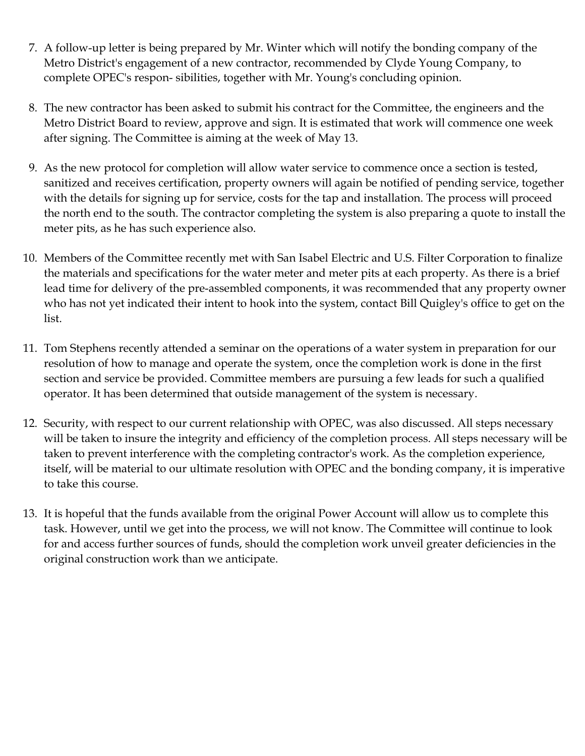- 7. A follow-up letter is being prepared by Mr. Winter which will notify the bonding company of the Metro District's engagement of a new contractor, recommended by Clyde Young Company, to complete OPEC's respon- sibilities, together with Mr. Young's concluding opinion.
- 8. The new contractor has been asked to submit his contract for the Committee, the engineers and the Metro District Board to review, approve and sign. It is estimated that work will commence one week after signing. The Committee is aiming at the week of May 13.
- 9. As the new protocol for completion will allow water service to commence once a section is tested, sanitized and receives certification, property owners will again be notified of pending service, together with the details for signing up for service, costs for the tap and installation. The process will proceed the north end to the south. The contractor completing the system is also preparing a quote to install the meter pits, as he has such experience also.
- 10. Members of the Committee recently met with San Isabel Electric and U.S. Filter Corporation to finalize the materials and specifications for the water meter and meter pits at each property. As there is a brief lead time for delivery of the pre-assembled components, it was recommended that any property owner who has not yet indicated their intent to hook into the system, contact Bill Quigley's office to get on the list.
- 11. Tom Stephens recently attended a seminar on the operations of a water system in preparation for our resolution of how to manage and operate the system, once the completion work is done in the first section and service be provided. Committee members are pursuing a few leads for such a qualified operator. It has been determined that outside management of the system is necessary.
- 12. Security, with respect to our current relationship with OPEC, was also discussed. All steps necessary will be taken to insure the integrity and efficiency of the completion process. All steps necessary will be taken to prevent interference with the completing contractor's work. As the completion experience, itself, will be material to our ultimate resolution with OPEC and the bonding company, it is imperative to take this course.
- 13. It is hopeful that the funds available from the original Power Account will allow us to complete this task. However, until we get into the process, we will not know. The Committee will continue to look for and access further sources of funds, should the completion work unveil greater deficiencies in the original construction work than we anticipate.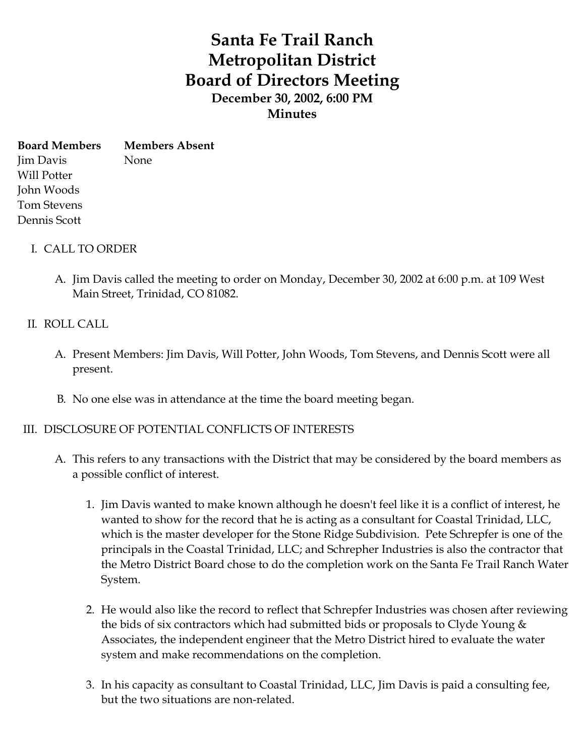# **Santa Fe Trail Ranch Metropolitan District Board of Directors Meeting December 30, 2002, 6:00 PM Minutes**

**Board Members** Jim Davis Will Potter John Woods Tom Stevens Dennis Scott **Members Absent** None

- I. CALL TO ORDER
	- A. Jim Davis called the meeting to order on Monday, December 30, 2002 at 6:00 p.m. at 109 West Main Street, Trinidad, CO 81082.

#### II. ROLL CALL

- A. Present Members: Jim Davis, Will Potter, John Woods, Tom Stevens, and Dennis Scott were all present.
- B. No one else was in attendance at the time the board meeting began.

## III. DISCLOSURE OF POTENTIAL CONFLICTS OF INTERESTS

- A. This refers to any transactions with the District that may be considered by the board members as a possible conflict of interest.
	- 1. Jim Davis wanted to make known although he doesn't feel like it is a conflict of interest, he wanted to show for the record that he is acting as a consultant for Coastal Trinidad, LLC, which is the master developer for the Stone Ridge Subdivision. Pete Schrepfer is one of the principals in the Coastal Trinidad, LLC; and Schrepher Industries is also the contractor that the Metro District Board chose to do the completion work on the Santa Fe Trail Ranch Water System.
	- 2. He would also like the record to reflect that Schrepfer Industries was chosen after reviewing the bids of six contractors which had submitted bids or proposals to Clyde Young  $\&$ Associates, the independent engineer that the Metro District hired to evaluate the water system and make recommendations on the completion.
	- 3. In his capacity as consultant to Coastal Trinidad, LLC, Jim Davis is paid a consulting fee, but the two situations are non-related.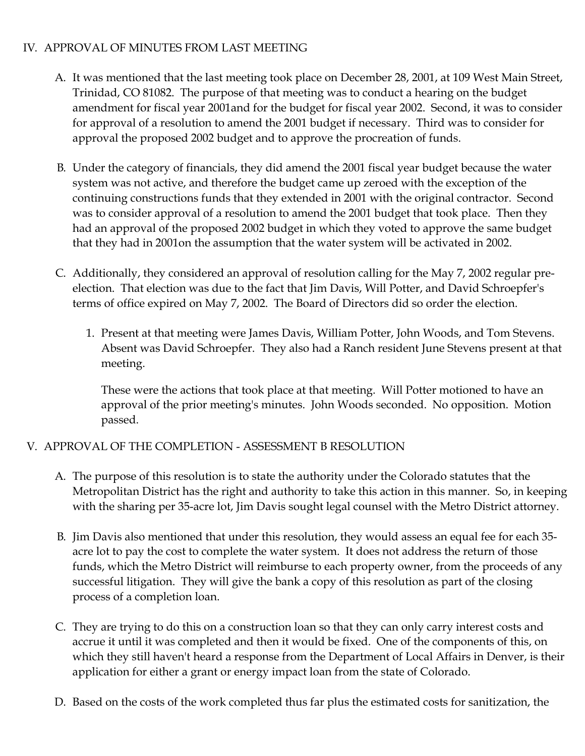# IV. APPROVAL OF MINUTES FROM LAST MEETING

- A. It was mentioned that the last meeting took place on December 28, 2001, at 109 West Main Street, Trinidad, CO 81082. The purpose of that meeting was to conduct a hearing on the budget amendment for fiscal year 2001and for the budget for fiscal year 2002. Second, it was to consider for approval of a resolution to amend the 2001 budget if necessary. Third was to consider for approval the proposed 2002 budget and to approve the procreation of funds.
- B. Under the category of financials, they did amend the 2001 fiscal year budget because the water system was not active, and therefore the budget came up zeroed with the exception of the continuing constructions funds that they extended in 2001 with the original contractor. Second was to consider approval of a resolution to amend the 2001 budget that took place. Then they had an approval of the proposed 2002 budget in which they voted to approve the same budget that they had in 2001on the assumption that the water system will be activated in 2002.
- C. Additionally, they considered an approval of resolution calling for the May 7, 2002 regular preelection. That election was due to the fact that Jim Davis, Will Potter, and David Schroepfer's terms of office expired on May 7, 2002. The Board of Directors did so order the election.
	- 1. Present at that meeting were James Davis, William Potter, John Woods, and Tom Stevens. Absent was David Schroepfer. They also had a Ranch resident June Stevens present at that meeting.

These were the actions that took place at that meeting. Will Potter motioned to have an approval of the prior meeting's minutes. John Woods seconded. No opposition. Motion passed.

# V. APPROVAL OF THE COMPLETION - ASSESSMENT B RESOLUTION

- A. The purpose of this resolution is to state the authority under the Colorado statutes that the Metropolitan District has the right and authority to take this action in this manner. So, in keeping with the sharing per 35-acre lot, Jim Davis sought legal counsel with the Metro District attorney.
- B. Jim Davis also mentioned that under this resolution, they would assess an equal fee for each 35 acre lot to pay the cost to complete the water system. It does not address the return of those funds, which the Metro District will reimburse to each property owner, from the proceeds of any successful litigation. They will give the bank a copy of this resolution as part of the closing process of a completion loan.
- C. They are trying to do this on a construction loan so that they can only carry interest costs and accrue it until it was completed and then it would be fixed. One of the components of this, on which they still haven't heard a response from the Department of Local Affairs in Denver, is their application for either a grant or energy impact loan from the state of Colorado.
- D. Based on the costs of the work completed thus far plus the estimated costs for sanitization, the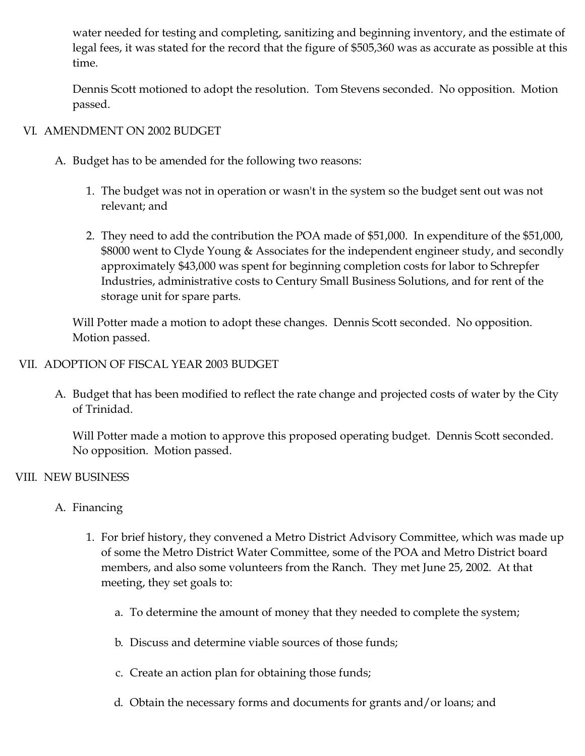water needed for testing and completing, sanitizing and beginning inventory, and the estimate of legal fees, it was stated for the record that the figure of \$505,360 was as accurate as possible at this time.

Dennis Scott motioned to adopt the resolution. Tom Stevens seconded. No opposition. Motion passed.

# VI. AMENDMENT ON 2002 BUDGET

- A. Budget has to be amended for the following two reasons:
	- 1. The budget was not in operation or wasn't in the system so the budget sent out was not relevant; and
	- 2. They need to add the contribution the POA made of \$51,000. In expenditure of the \$51,000, \$8000 went to Clyde Young & Associates for the independent engineer study, and secondly approximately \$43,000 was spent for beginning completion costs for labor to Schrepfer Industries, administrative costs to Century Small Business Solutions, and for rent of the storage unit for spare parts.

Will Potter made a motion to adopt these changes. Dennis Scott seconded. No opposition. Motion passed.

# VII. ADOPTION OF FISCAL YEAR 2003 BUDGET

A. Budget that has been modified to reflect the rate change and projected costs of water by the City of Trinidad.

Will Potter made a motion to approve this proposed operating budget. Dennis Scott seconded. No opposition. Motion passed.

## VIII. NEW BUSINESS

## A. Financing

- 1. For brief history, they convened a Metro District Advisory Committee, which was made up of some the Metro District Water Committee, some of the POA and Metro District board members, and also some volunteers from the Ranch. They met June 25, 2002. At that meeting, they set goals to:
	- a. To determine the amount of money that they needed to complete the system;
	- b. Discuss and determine viable sources of those funds;
	- c. Create an action plan for obtaining those funds;
	- d. Obtain the necessary forms and documents for grants and/or loans; and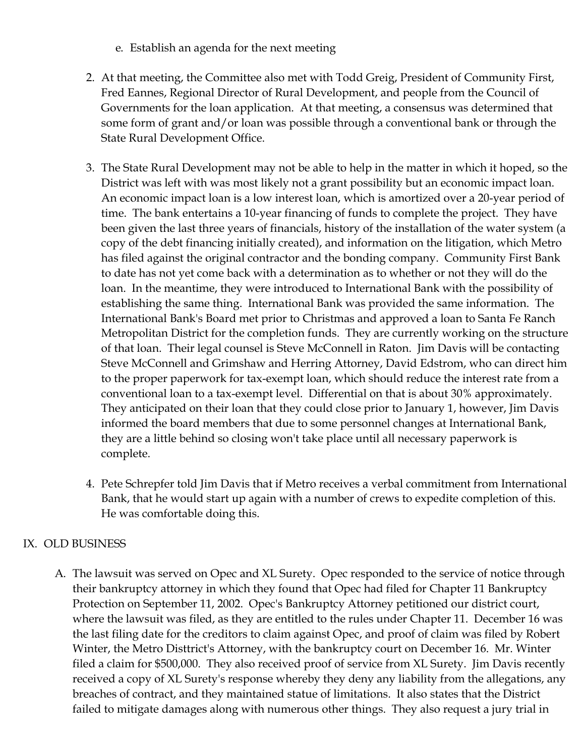- e. Establish an agenda for the next meeting
- 2. At that meeting, the Committee also met with Todd Greig, President of Community First, Fred Eannes, Regional Director of Rural Development, and people from the Council of Governments for the loan application. At that meeting, a consensus was determined that some form of grant and/or loan was possible through a conventional bank or through the State Rural Development Office.
- 3. The State Rural Development may not be able to help in the matter in which it hoped, so the District was left with was most likely not a grant possibility but an economic impact loan. An economic impact loan is a low interest loan, which is amortized over a 20-year period of time. The bank entertains a 10-year financing of funds to complete the project. They have been given the last three years of financials, history of the installation of the water system (a copy of the debt financing initially created), and information on the litigation, which Metro has filed against the original contractor and the bonding company. Community First Bank to date has not yet come back with a determination as to whether or not they will do the loan. In the meantime, they were introduced to International Bank with the possibility of establishing the same thing. International Bank was provided the same information. The International Bank's Board met prior to Christmas and approved a loan to Santa Fe Ranch Metropolitan District for the completion funds. They are currently working on the structure of that loan. Their legal counsel is Steve McConnell in Raton. Jim Davis will be contacting Steve McConnell and Grimshaw and Herring Attorney, David Edstrom, who can direct him to the proper paperwork for tax-exempt loan, which should reduce the interest rate from a conventional loan to a tax-exempt level. Differential on that is about 30% approximately. They anticipated on their loan that they could close prior to January 1, however, Jim Davis informed the board members that due to some personnel changes at International Bank, they are a little behind so closing won't take place until all necessary paperwork is complete.
- 4. Pete Schrepfer told Jim Davis that if Metro receives a verbal commitment from International Bank, that he would start up again with a number of crews to expedite completion of this. He was comfortable doing this.

# IX. OLD BUSINESS

A. The lawsuit was served on Opec and XL Surety. Opec responded to the service of notice through their bankruptcy attorney in which they found that Opec had filed for Chapter 11 Bankruptcy Protection on September 11, 2002. Opec's Bankruptcy Attorney petitioned our district court, where the lawsuit was filed, as they are entitled to the rules under Chapter 11. December 16 was the last filing date for the creditors to claim against Opec, and proof of claim was filed by Robert Winter, the Metro Disttrict's Attorney, with the bankruptcy court on December 16. Mr. Winter filed a claim for \$500,000. They also received proof of service from XL Surety. Jim Davis recently received a copy of XL Surety's response whereby they deny any liability from the allegations, any breaches of contract, and they maintained statue of limitations. It also states that the District failed to mitigate damages along with numerous other things. They also request a jury trial in